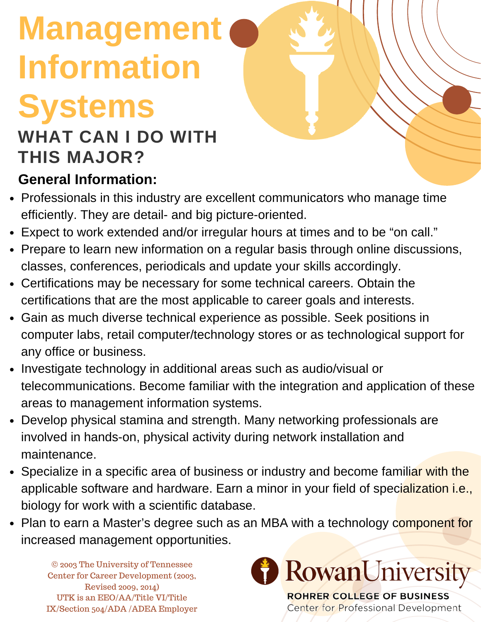# **Management Information Systems**

## **WHAT CAN I DO WITH THIS MAJOR?**

#### **General Information:**

- Professionals in this industry are excellent communicators who manage time efficiently. They are detail- and big picture-oriented.
- Expect to work extended and/or irregular hours at times and to be "on call."
- Prepare to learn new information on a regular basis through online discussions, classes, conferences, periodicals and update your skills accordingly.
- Certifications may be necessary for some technical careers. Obtain the certifications that are the most applicable to career goals and interests.
- Gain as much diverse technical experience as possible. Seek positions in computer labs, retail computer/technology stores or as technological support for any office or business.
- Investigate technology in additional areas such as audio/visual or telecommunications. Become familiar with the integration and application of these areas to management information systems.
- Develop physical stamina and strength. Many networking professionals are involved in hands-on, physical activity during network installation and maintenance.
- Specialize in a specific area of business or industry and become familiar with the applicable software and hardware. Earn a minor in your field of specialization i.e., biology for work with a scientific database.
- Plan to earn a Master's degree such as an MBA with a technology component for increased management opportunities.

© 2003 The University of Tennessee Center for Career Development (2003, Revised 2009, 2014) UTK is an EEO/AA/Title VI/Title IX/Section 504/ADA /ADEA Employer



Center for Professional Development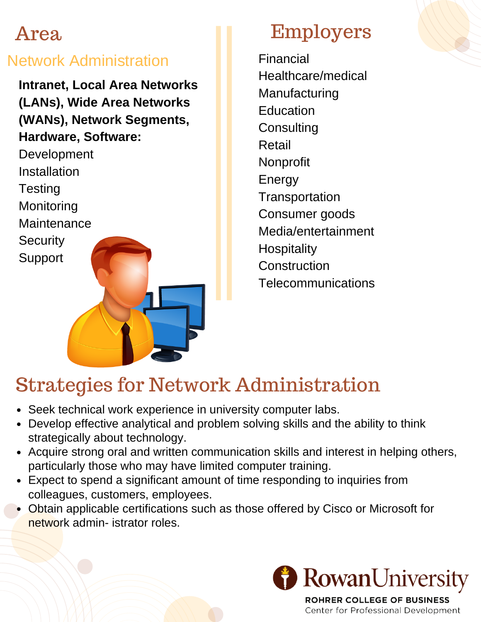#### Network Administration

**Intranet, Local Area Networks (LANs), Wide Area Networks (WANs), Network Segments, Hardware, Software:**

Development Installation **Testing** Monitoring **Maintenance Security** Support

## Employers

Financial Healthcare/medical Manufacturing Education **Consulting** Retail Nonprofit Energy **Transportation** Consumer goods Media/entertainment **Hospitality** Construction **Telecommunications** 

## Strategies for Network Administration

- Seek technical work experience in university computer labs.
- Develop effective analytical and problem solving skills and the ability to think strategically about technology.
- Acquire strong oral and written communication skills and interest in helping others, particularly those who may have limited computer training.
- Expect to spend a significant amount of time responding to inquiries from colleagues, customers, employees.
- Obtain applicable certifications such as those offered by Cisco or Microsoft for network admin- istrator roles.



ROHRER COLLEGE OF BUSINESS Center for Professional Development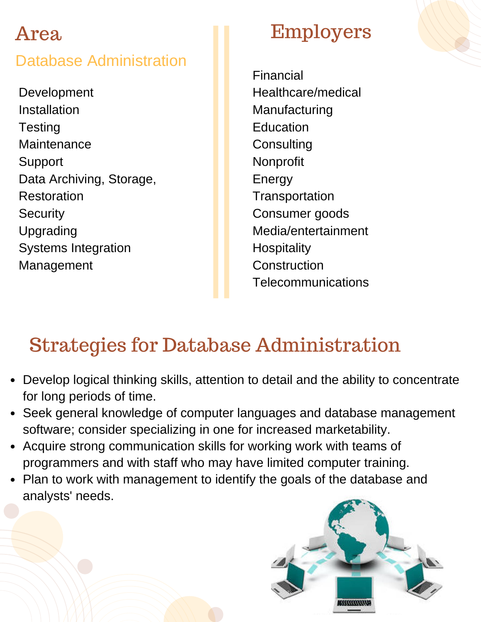#### Database Administration

Development Installation **Testing** Maintenance Support Data Archiving, Storage, Restoration **Security** Upgrading Systems Integration Management

## Employers

Financial Healthcare/medical Manufacturing **Education Consulting** Nonprofit Energy **Transportation** Consumer goods Media/entertainment **Hospitality Construction Telecommunications** 

## Strategies for Database Administration

- Develop logical thinking skills, attention to detail and the ability to concentrate for long periods of time.
- Seek general knowledge of computer languages and database management software; consider specializing in one for increased marketability.
- Acquire strong communication skills for working work with teams of programmers and with staff who may have limited computer training.
- Plan to work with management to identify the goals of the database and analysts' needs.

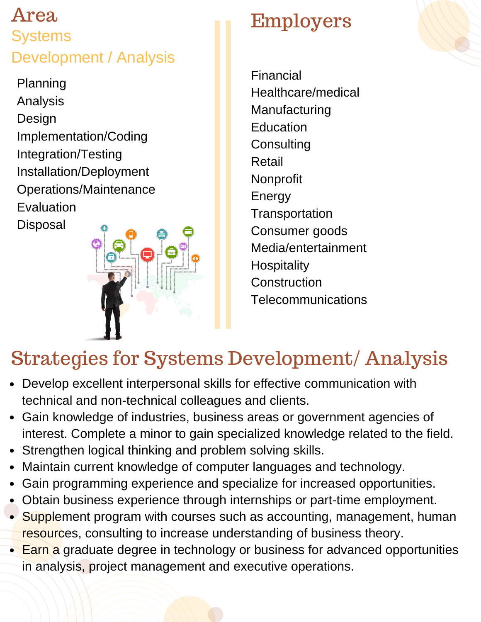### Area **Systems** Development / Analysis

Planning Analysis Design Implementation/Coding Integration/Testing Installation/Deployment Operations/Maintenance Evaluation **Disposal** 



## Employers

Financial Healthcare/medical Manufacturing **Education Consulting** Retail Nonprofit Energy **Transportation** Consumer goods Media/entertainment **Hospitality** Construction **Telecommunications** 

## Strategies for Systems Development/ Analysis

- Develop excellent interpersonal skills for effective communication with technical and non-technical colleagues and clients.
- Gain knowledge of industries, business areas or government agencies of interest. Complete a minor to gain specialized knowledge related to the field.
- Strengthen logical thinking and problem solving skills.  $\bullet$
- Maintain current knowledge of computer languages and technology.  $\bullet$
- Gain programming experience and specialize for increased opportunities.  $\bullet$
- Obtain business experience through internships or part-time employment.
- Supplement program with courses such as accounting, management, human resources, consulting to increase understanding of business theory.
- Earn a graduate degree in technology or business for advanced opportunities in analysis, project management and executive operations.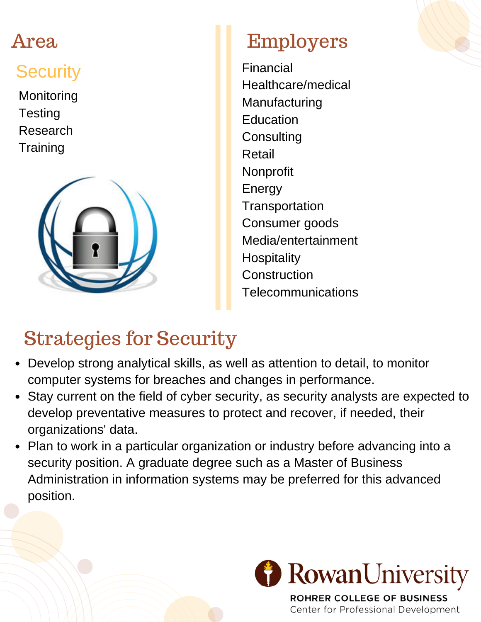## **Security**

**Monitoring Testing** Research **Training** 



## Employers

Financial Healthcare/medical Manufacturing Education **Consulting** Retail Nonprofit Energy **Transportation** Consumer goods Media/entertainment **Hospitality Construction Telecommunications** 

## Strategies for Security

- Develop strong analytical skills, as well as attention to detail, to monitor computer systems for breaches and changes in performance.
- Stay current on the field of cyber security, as security analysts are expected to develop preventative measures to protect and recover, if needed, their organizations' data.
- Plan to work in a particular organization or industry before advancing into a security position. A graduate degree such as a Master of Business Administration in information systems may be preferred for this advanced position.



**ROHRER COLLEGE OF BUSINESS** Center for Professional Development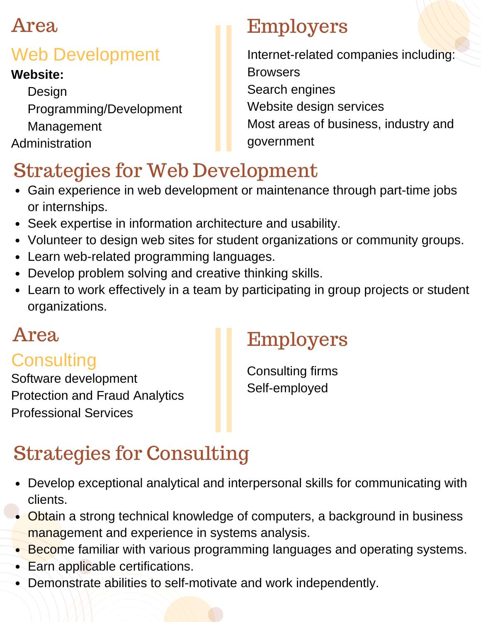## Web Development

#### **Website:**

**Design** Programming/Development Management Administration

## Employers

Internet-related companies including: **Browsers** Search engines Website design services Most areas of business, industry and government

## Strategies for Web Development

- Gain experience in web development or maintenance through part-time jobs or internships.
- Seek expertise in information architecture and usability.
- Volunteer to design web sites for student organizations or community groups.
- Learn web-related programming languages.
- Develop problem solving and creative thinking skills.
- Learn to work effectively in a team by participating in group projects or student organizations.

### **Consulting**

Software development Protection and Fraud Analytics Professional Services

## Area Employers

Consulting firms Self-employed

## Strategies for Consulting

- Develop exceptional analytical and interpersonal skills for communicating with clients.
- Obtain a strong technical knowledge of computers, a background in business management and experience in systems analysis.
- **Become familiar with various programming languages and operating systems.**
- Earn applicable certifications.
- Demonstrate abilities to self-motivate and work independently.